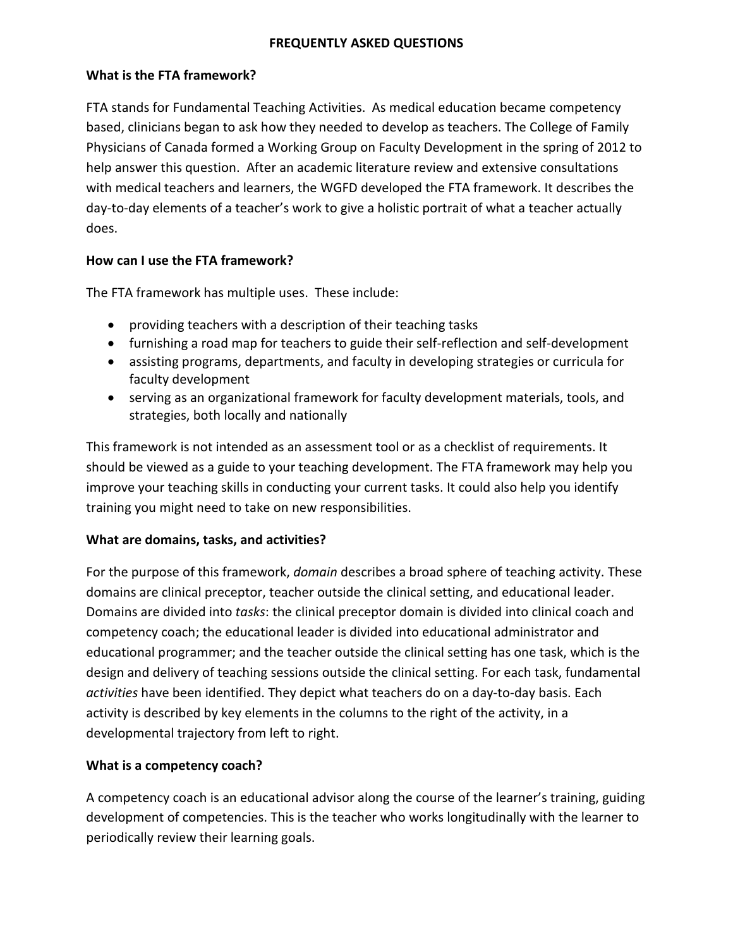#### **FREQUENTLY ASKED QUESTIONS**

#### **What is the FTA framework?**

FTA stands for Fundamental Teaching Activities. As medical education became competency based, clinicians began to ask how they needed to develop as teachers. The College of Family Physicians of Canada formed a Working Group on Faculty Development in the spring of 2012 to help answer this question. After an academic literature review and extensive consultations with medical teachers and learners, the WGFD developed the FTA framework. It describes the day-to-day elements of a teacher's work to give a holistic portrait of what a teacher actually does.

## **How can I use the FTA framework?**

The FTA framework has multiple uses. These include:

- providing teachers with a description of their teaching tasks
- furnishing a road map for teachers to guide their self-reflection and self-development
- assisting programs, departments, and faculty in developing strategies or curricula for faculty development
- serving as an organizational framework for faculty development materials, tools, and strategies, both locally and nationally

This framework is not intended as an assessment tool or as a checklist of requirements. It should be viewed as a guide to your teaching development. The FTA framework may help you improve your teaching skills in conducting your current tasks. It could also help you identify training you might need to take on new responsibilities.

## **What are domains, tasks, and activities?**

For the purpose of this framework, *domain* describes a broad sphere of teaching activity. These domains are clinical preceptor, teacher outside the clinical setting, and educational leader. Domains are divided into *tasks*: the clinical preceptor domain is divided into clinical coach and competency coach; the educational leader is divided into educational administrator and educational programmer; and the teacher outside the clinical setting has one task, which is the design and delivery of teaching sessions outside the clinical setting. For each task, fundamental *activities* have been identified. They depict what teachers do on a day-to-day basis. Each activity is described by key elements in the columns to the right of the activity, in a developmental trajectory from left to right.

## **What is a competency coach?**

A competency coach is an educational advisor along the course of the learner's training, guiding development of competencies. This is the teacher who works longitudinally with the learner to periodically review their learning goals.